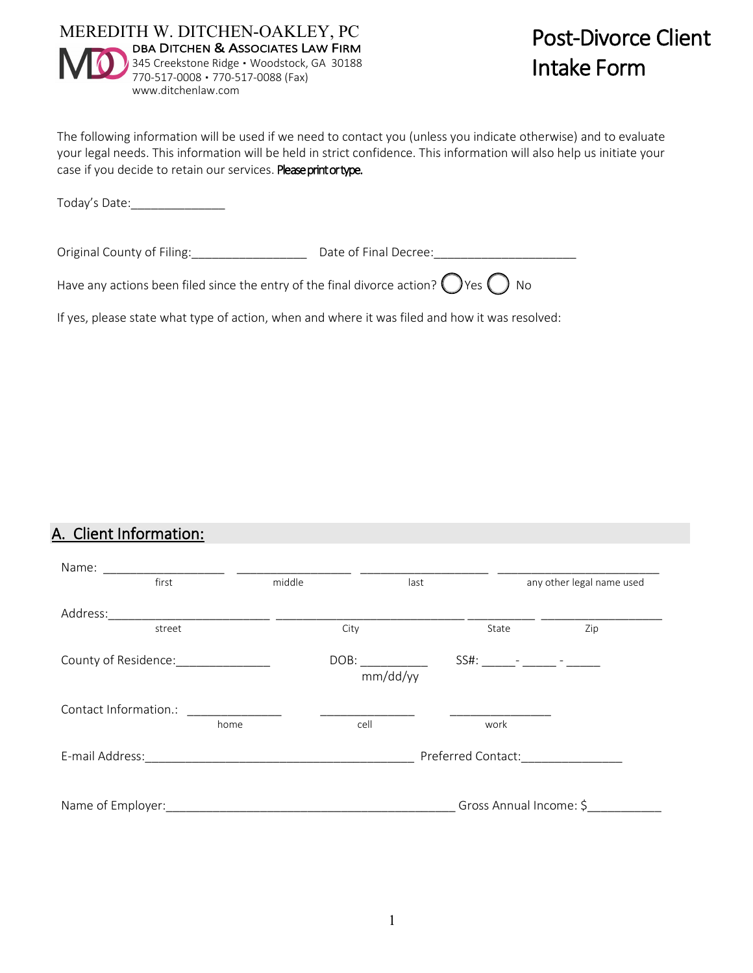

The following information will be used if we need to contact you (unless you indicate otherwise) and to evaluate your legal needs. This information will be held in strict confidence. This information will also help us initiate your case if you decide to retain our services. Please print or type.

Today's Date:\_\_\_\_\_\_\_\_\_\_\_\_\_\_

Original County of Filing: example and Decree: Date of Final Decree:

Have any actions been filed since the entry of the final divorce action?  $\bigcirc$  Yes  $\bigcirc$  No

If yes, please state what type of action, when and where it was filed and how it was resolved:

#### A. Client Information:

| Name: ___________                   | <u> 1980 - Jan James James Barbara, president politik (</u>                                                           |        |          |                    |                           |  |
|-------------------------------------|-----------------------------------------------------------------------------------------------------------------------|--------|----------|--------------------|---------------------------|--|
| first                               |                                                                                                                       | middle | last     |                    | any other legal name used |  |
| Address:                            |                                                                                                                       |        |          |                    |                           |  |
| street                              |                                                                                                                       |        | City     | State              | Zip                       |  |
| County of Residence: ______________ |                                                                                                                       |        | mm/dd/yy |                    |                           |  |
| Contact Information.:               | <u> 1989 - Johann Harry Harry Harry Harry Harry Harry Harry Harry Harry Harry Harry Harry Harry Harry Harry Harry</u> |        |          |                    |                           |  |
|                                     | home                                                                                                                  |        | cell     | work               |                           |  |
|                                     |                                                                                                                       |        |          | Preferred Contact: |                           |  |
|                                     |                                                                                                                       |        |          |                    | Gross Annual Income: \$   |  |